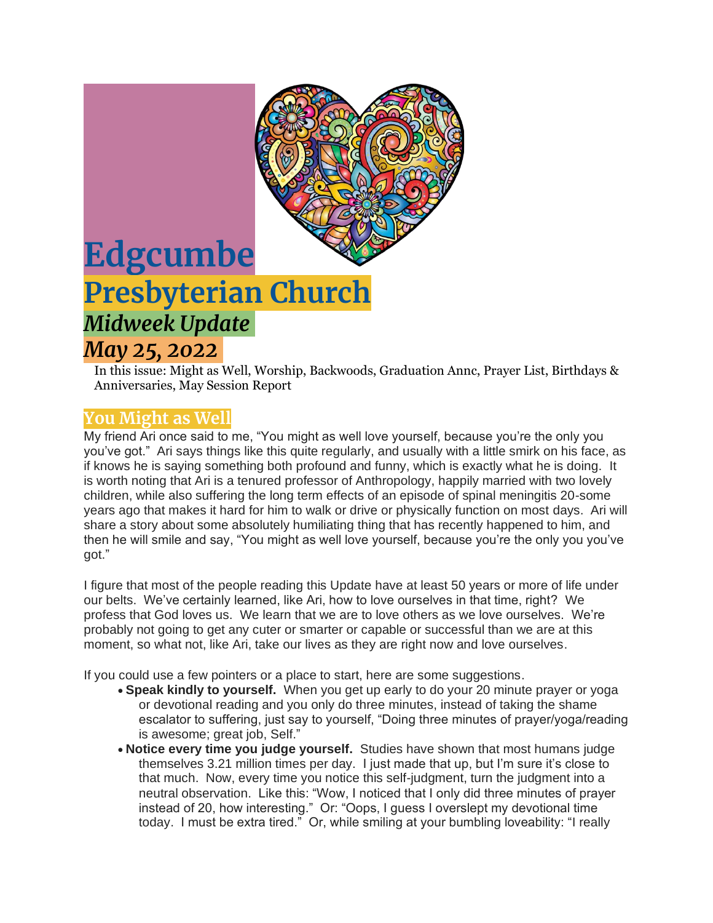

# **Edgcumbe Presbyterian Church** *Midweek Update May 25, 2022*

In this issue: Might as Well, Worship, Backwoods, Graduation Annc, Prayer List, Birthdays & Anniversaries, May Session Report

## **You Might as Well**

My friend Ari once said to me, "You might as well love yourself, because you're the only you you've got." Ari says things like this quite regularly, and usually with a little smirk on his face, as if knows he is saying something both profound and funny, which is exactly what he is doing. It is worth noting that Ari is a tenured professor of Anthropology, happily married with two lovely children, while also suffering the long term effects of an episode of spinal meningitis 20-some years ago that makes it hard for him to walk or drive or physically function on most days. Ari will share a story about some absolutely humiliating thing that has recently happened to him, and then he will smile and say, "You might as well love yourself, because you're the only you you've got."

I figure that most of the people reading this Update have at least 50 years or more of life under our belts. We've certainly learned, like Ari, how to love ourselves in that time, right? We profess that God loves us. We learn that we are to love others as we love ourselves. We're probably not going to get any cuter or smarter or capable or successful than we are at this moment, so what not, like Ari, take our lives as they are right now and love ourselves.

If you could use a few pointers or a place to start, here are some suggestions.

- **Speak kindly to yourself.** When you get up early to do your 20 minute prayer or yoga or devotional reading and you only do three minutes, instead of taking the shame escalator to suffering, just say to yourself, "Doing three minutes of prayer/yoga/reading is awesome; great job, Self."
- **Notice every time you judge yourself.** Studies have shown that most humans judge themselves 3.21 million times per day. I just made that up, but I'm sure it's close to that much. Now, every time you notice this self-judgment, turn the judgment into a neutral observation. Like this: "Wow, I noticed that I only did three minutes of prayer instead of 20, how interesting." Or: "Oops, I guess I overslept my devotional time today. I must be extra tired." Or, while smiling at your bumbling loveability: "I really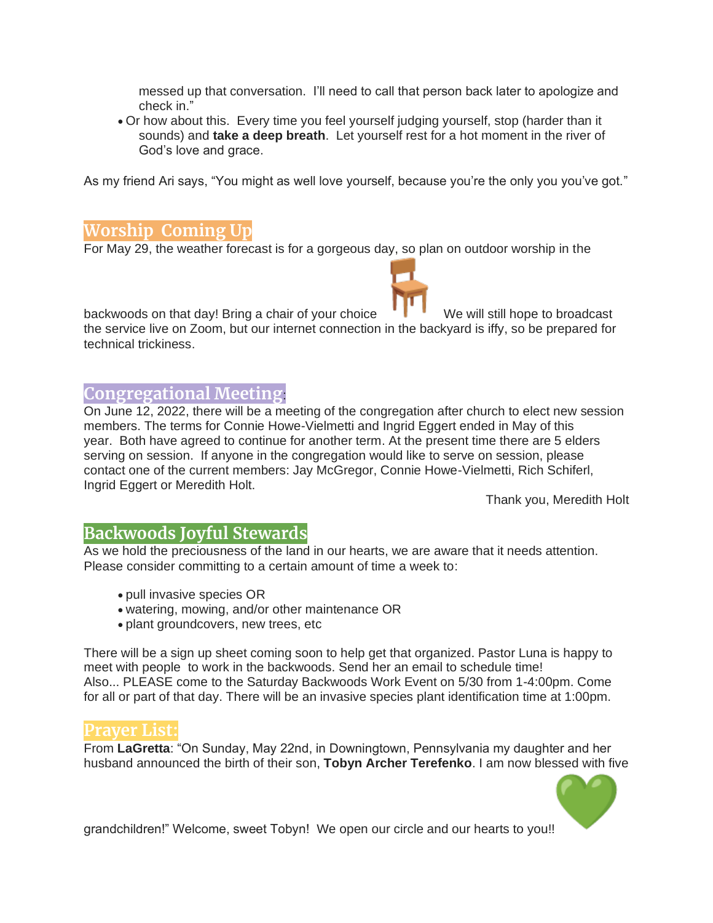messed up that conversation. I'll need to call that person back later to apologize and check in."

• Or how about this. Every time you feel yourself judging yourself, stop (harder than it sounds) and **take a deep breath**. Let yourself rest for a hot moment in the river of God's love and grace.

As my friend Ari says, "You might as well love yourself, because you're the only you you've got."

#### **Worship Coming Up**

For May 29, the weather forecast is for a gorgeous day, so plan on outdoor worship in the

backwoods on that day! Bring a chair of your choice We will still hope to broadcast the service live on Zoom, but our internet connection in the backyard is iffy, so be prepared for technical trickiness.

## **Congregational Meeting**:

On June 12, 2022, there will be a meeting of the congregation after church to elect new session members. The terms for Connie Howe-Vielmetti and Ingrid Eggert ended in May of this year. Both have agreed to continue for another term. At the present time there are 5 elders serving on session. If anyone in the congregation would like to serve on session, please contact one of the current members: Jay McGregor, Connie Howe-Vielmetti, Rich Schiferl, Ingrid Eggert or Meredith Holt.

Thank you, Meredith Holt

## **Backwoods Joyful Stewards**

As we hold the preciousness of the land in our hearts, we are aware that it needs attention. Please consider committing to a certain amount of time a week to:

- pull invasive species OR
- watering, mowing, and/or other maintenance OR
- plant groundcovers, new trees, etc

There will be a sign up sheet coming soon to help get that organized. Pastor Luna is happy to meet with people to work in the backwoods. Send her an email to schedule time! Also... PLEASE come to the Saturday Backwoods Work Event on 5/30 from 1-4:00pm. Come for all or part of that day. There will be an invasive species plant identification time at 1:00pm.

#### **Prayer List:**

From **LaGretta**: "On Sunday, May 22nd, in Downingtown, Pennsylvania my daughter and her husband announced the birth of their son, **Tobyn Archer Terefenko**. I am now blessed with five



grandchildren!" Welcome, sweet Tobyn! We open our circle and our hearts to you!!